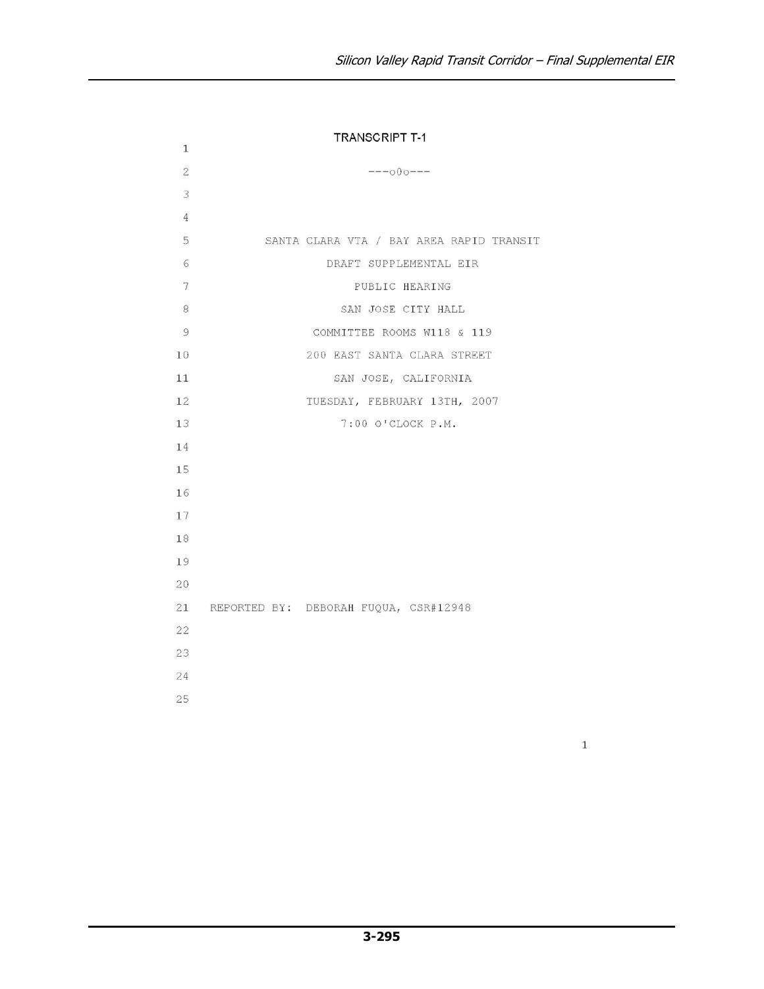| 1              | <b>TRANSCRIPT T-1</b>                    |
|----------------|------------------------------------------|
| $\overline{2}$ | $---000---$                              |
| 3              |                                          |
| $\overline{4}$ |                                          |
| 5              | SANTA CLARA VTA / BAY AREA RAPID TRANSIT |
| 6              | DRAFT SUPPLEMENTAL EIR                   |
| 7              | PUBLIC HEARING                           |
| 8              | SAN JOSE CITY HALL                       |
| 9              | COMMITTEE ROOMS W118 & 119               |
| 10             | 200 EAST SANTA CLARA STREET              |
| 11             | SAN JOSE, CALIFORNIA                     |
| 12             | TUESDAY, FEBRUARY 13TH, 2007             |
| 13             | 7:00 O'CLOCK P.M.                        |
| 14             |                                          |
| 15             |                                          |
| 16             |                                          |
| 17             |                                          |
| 18             |                                          |
| 19             |                                          |
| 20             |                                          |
|                | 21 REPORTED BY: DEBORAH FUQUA, CSR#12948 |
| 22             |                                          |
| 23             |                                          |
| 24             |                                          |
| 25             |                                          |
|                |                                          |

 $\,1$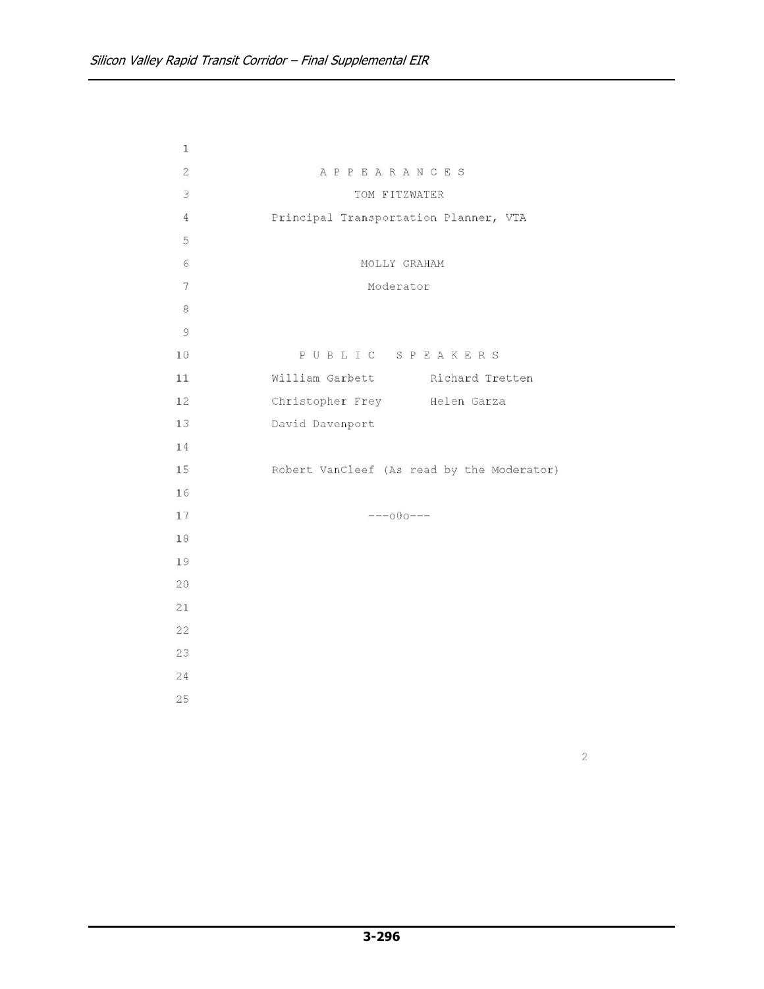| $\mathbf{1}$   |                                            |
|----------------|--------------------------------------------|
| $\overline{2}$ | APPEARANCES                                |
| 3              | TOM FITZWATER                              |
| $\overline{4}$ | Principal Transportation Planner, VTA      |
| 5              |                                            |
| 6              | MOLLY GRAHAM                               |
| 7              | Moderator                                  |
| 8              |                                            |
| 9              |                                            |
| 10             | PUBLIC SPEAKERS                            |
| 11             | William Garbett Richard Tretten            |
| 12             | Christopher Frey Helen Garza               |
| 13             | David Davenport                            |
| 14             |                                            |
| 15             | Robert VanCleef (As read by the Moderator) |
| 16             |                                            |
| 17             | $---000---$                                |
| 18             |                                            |
| 19             |                                            |
| 20             |                                            |
| 21             |                                            |
| 22             |                                            |
| 23             |                                            |
| 24             |                                            |
| 25             |                                            |
|                |                                            |

 $\sqrt{2}$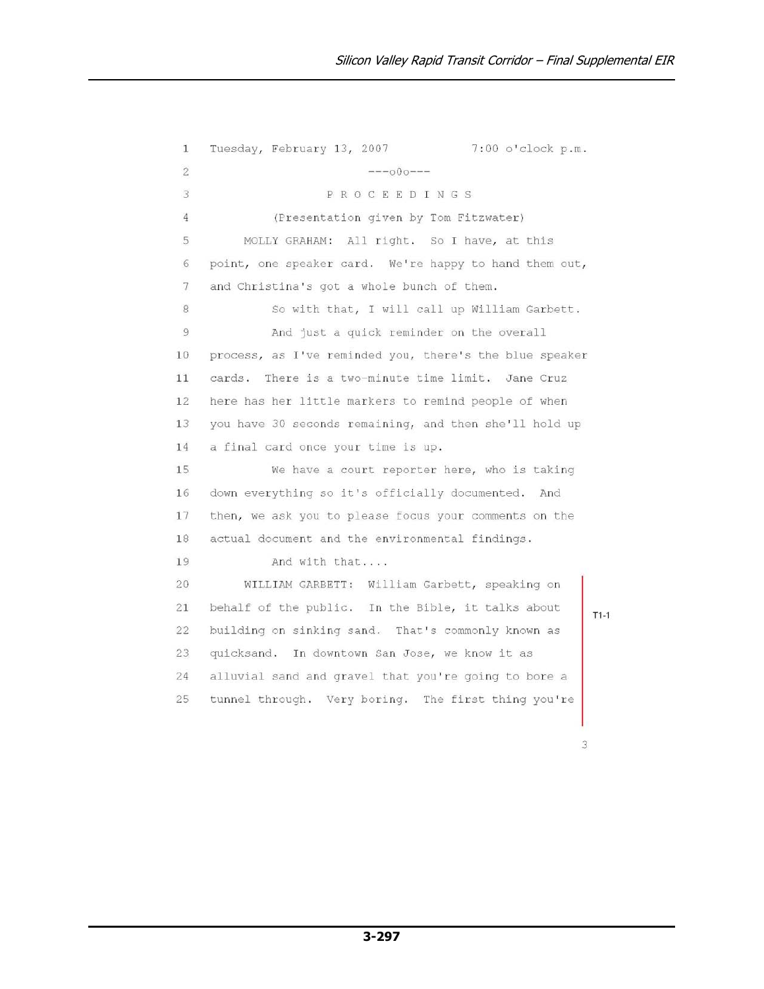Tuesday, February 13, 2007 7:00 o'clock p.m.  $\mathbf{1}$  $\overline{2}$  $---000-- \overline{3}$ PROCEEDINGS (Presentation given by Tom Fitzwater)  $\overline{4}$ 5 MOLLY GRAHAM: All right. So I have, at this point, one speaker card. We're happy to hand them out,  $6$  $\overline{7}$ and Christina's got a whole bunch of them. 8 So with that, I will call up William Garbett. 9 And just a quick reminder on the overall process, as I've reminded you, there's the blue speaker  $10$  $11$ cards. There is a two-minute time limit. Jane Cruz here has her little markers to remind people of when 12 13 you have 30 seconds remaining, and then she'll hold up 14 a final card once your time is up. 15 We have a court reporter here, who is taking 16 down everything so it's officially documented. And 17 then, we ask you to please focus your comments on the 18 actual document and the environmental findings. 19 And with that....  $20$ WILLIAM GARBETT: William Garbett, speaking on behalf of the public. In the Bible, it talks about 21  $22^{1}$ building on sinking sand. That's commonly known as 23 quicksand. In downtown San Jose, we know it as 24 alluvial sand and gravel that you're going to bore a 25 tunnel through. Very boring. The first thing you're

 $T1-1$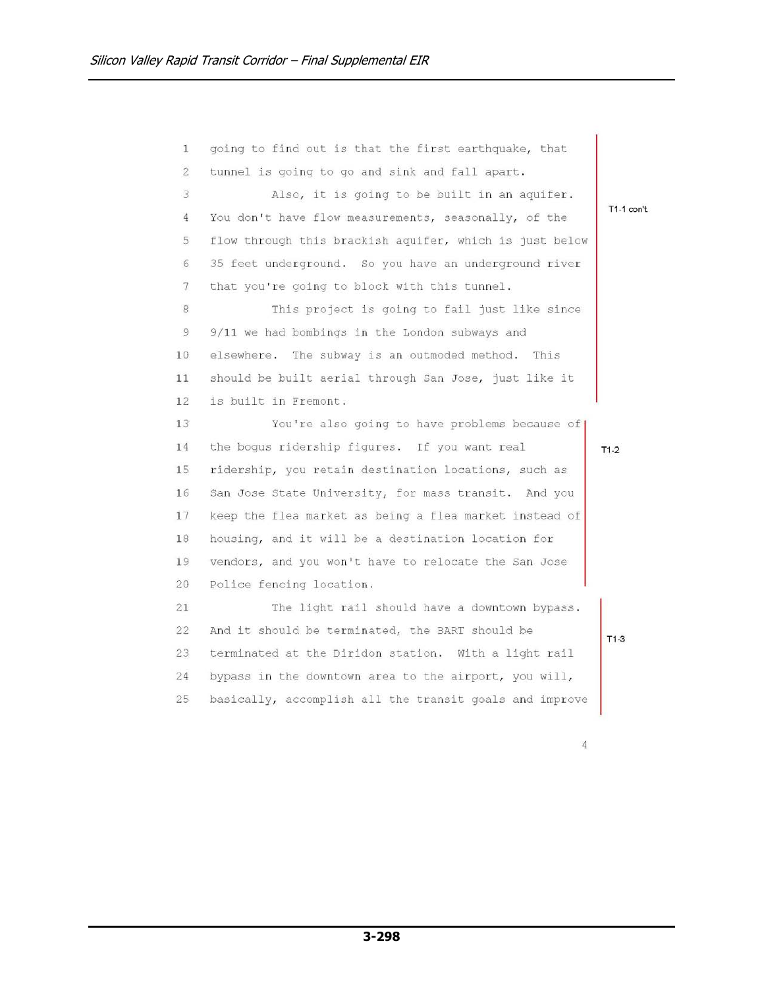going to find out is that the first earthquake, that  $\mathbf{1}$  $\overline{2}$ tunnel is going to go and sink and fall apart. 3 Also, it is going to be built in an aquifer. T1-1 con't. You don't have flow measurements, seasonally, of the  $4\overline{ }$ 5 flow through this brackish aquifer, which is just below 35 feet underground. So you have an underground river  $6$ that you're going to block with this tunnel.  $7$ 8 This project is going to fail just like since  $\overline{9}$ 9/11 we had bombings in the London subways and elsewhere. The subway is an outmoded method. This 10 should be built aerial through San Jose, just like it  $11$ is built in Fremont.  $12$ 13 You're also going to have problems because of the bogus ridership figures. If you want real 14  $T1-2$ 15 ridership, you retain destination locations, such as 16 San Jose State University, for mass transit. And you 17 keep the flea market as being a flea market instead of 18 housing, and it will be a destination location for 19 vendors, and you won't have to relocate the San Jose Police fencing location. 20 The light rail should have a downtown bypass.  $21$  $22^{1}$ And it should be terminated, the BART should be  $T1-3$ 23 terminated at the Diridon station. With a light rail 24 bypass in the downtown area to the airport, you will, 25 basically, accomplish all the transit goals and improve

 $\overline{4}$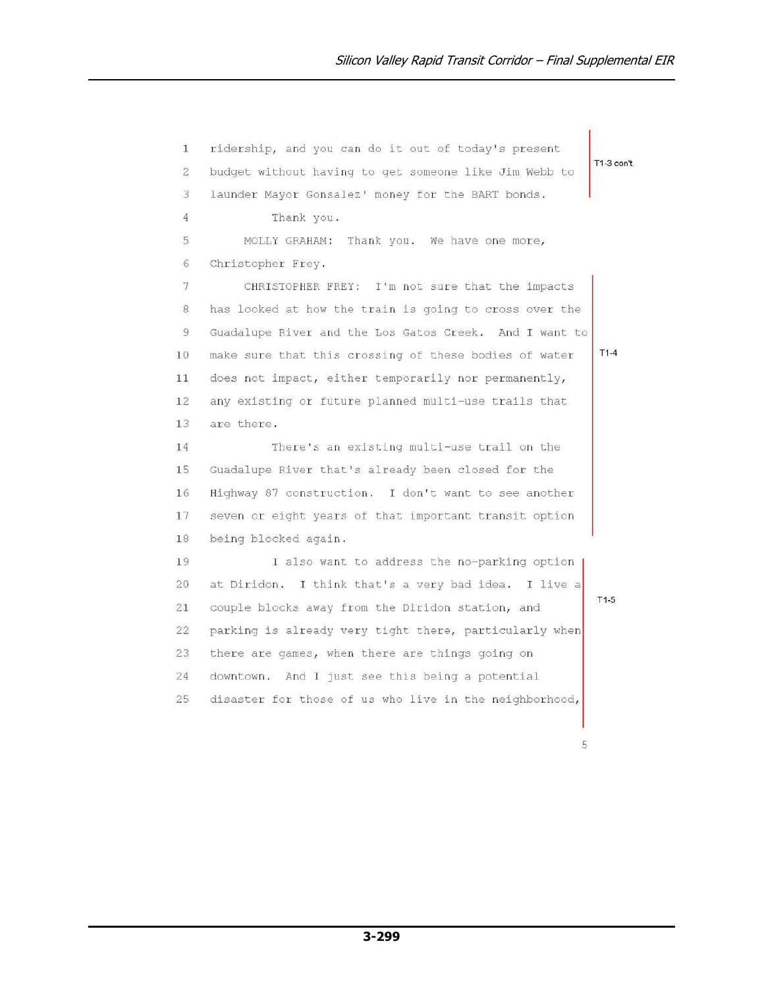ridership, and you can do it out of today's present  $\mathbf{1}$ T1-3 con't.  $\overline{2}$ budget without having to get someone like Jim Webb to 3 launder Mayor Gonsalez' money for the BART bonds.  $\overline{4}$ Thank you. 5 MOLLY GRAHAM: Thank you. We have one more, Christopher Frey.  $6$  $\overline{7}$ CHRISTOPHER FREY: I'm not sure that the impacts 8 has looked at how the train is going to cross over the  $\overline{9}$ Guadalupe River and the Los Gatos Creek. And I want to  $T1-4$ make sure that this crossing of these bodies of water  $10$ does not impact, either temporarily nor permanently,  $11$ any existing or future planned multi-use trails that 12 13 are there. 14 There's an existing multi-use trail on the 15 Guadalupe River that's already been closed for the 16 Highway 87 construction. I don't want to see another 17 seven or eight years of that important transit option 18 being blocked again. 19 I also want to address the no-parking option  $20<sup>°</sup>$ at Diridon. I think that's a very bad idea. I live a  $T1-5$  $21$ couple blocks away from the Diridon station, and  $22^{1}$ parking is already very tight there, particularly when 23 there are games, when there are things going on 24 downtown. And I just see this being a potential 25 disaster for those of us who live in the neighborhood,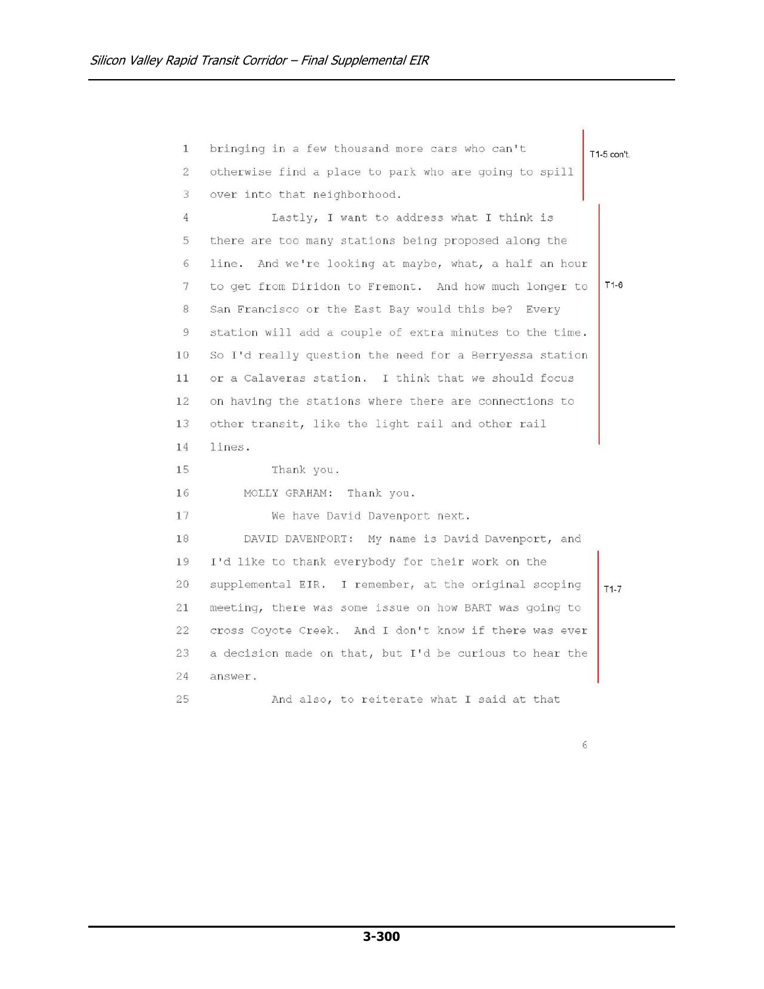bringing in a few thousand more cars who can't  $\mathbf{1}$ T1-5 con't.  $\overline{2}$ otherwise find a place to park who are going to spill  $\overline{3}$ over into that neighborhood.  $\overline{4}$ Lastly, I want to address what I think is 5 there are too many stations being proposed along the line. And we're looking at maybe, what, a half an hour  $6$  $7\phantom{.0}$ to get from Diridon to Fremont. And how much longer to  $T1-6$ 8 San Francisco or the East Bay would this be? Every  $\overline{9}$ station will add a couple of extra minutes to the time. 10 So I'd really question the need for a Berryessa station or a Calaveras station. I think that we should focus  $11$ on having the stations where there are connections to 12 13 other transit, like the light rail and other rail 14 lines. 15 Thank you. 16 MOLLY GRAHAM: Thank you. 17 We have David Davenport next. 18 DAVID DAVENPORT: My name is David Davenport, and 19 I'd like to thank everybody for their work on the  $20$ supplemental EIR. I remember, at the original scoping  $T1-7$ 21 meeting, there was some issue on how BART was going to  $22^{1}$ cross Coyote Creek. And I don't know if there was ever 23 a decision made on that, but I'd be curious to hear the 24 answer. 25 And also, to reiterate what I said at that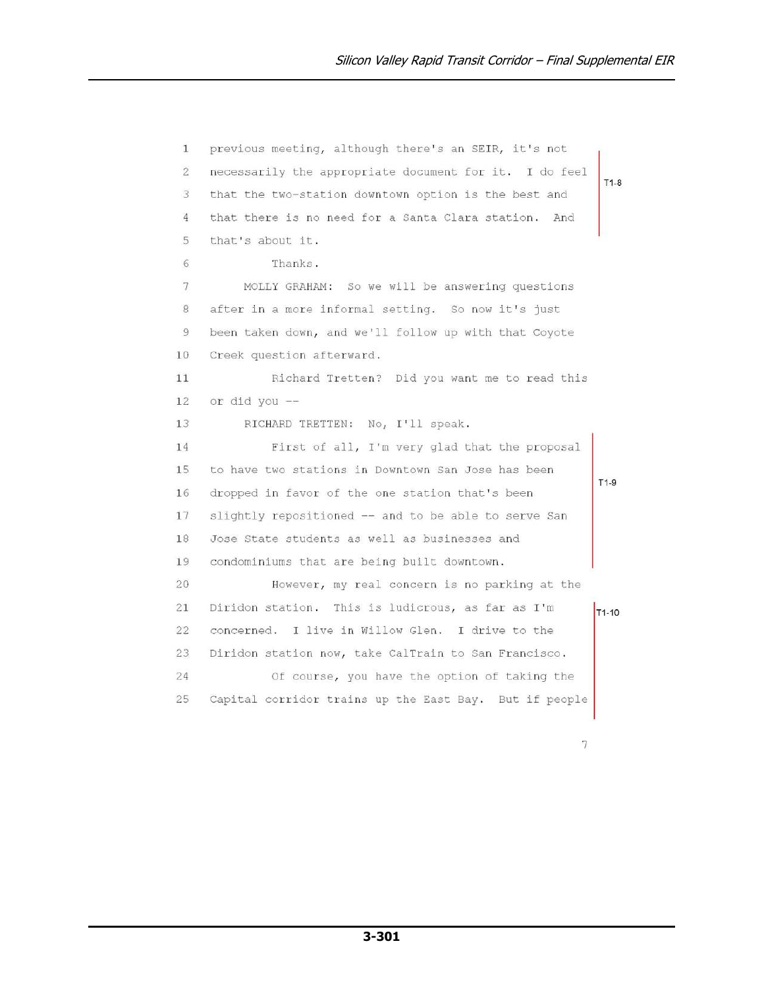previous meeting, although there's an SEIR, it's not  $\mathbf{1}$  $\overline{2}$ necessarily the appropriate document for it. I do feel  $T1-8$ 3 that the two-station downtown option is the best and that there is no need for a Santa Clara station. And  $\overline{4}$ 5 that's about it. Thanks.  $6$  $7\phantom{.0}$ MOLLY GRAHAM: So we will be answering questions  $\,$  8  $\,$ after in a more informal setting. So now it's just  $\overline{9}$ been taken down, and we'll follow up with that Coyote  $10$ Creek question afterward. Richard Tretten? Did you want me to read this  $11$ 12 or did you --RICHARD TRETTEN: No, I'll speak. 13 First of all, I'm very glad that the proposal 14 to have two stations in Downtown San Jose has been 15  $T1-9$ 16 dropped in favor of the one station that's been 17 slightly repositioned -- and to be able to serve San 18 Jose State students as well as businesses and 19 condominiums that are being built downtown.  $20$ However, my real concern is no parking at the Diridon station. This is ludicrous, as far as I'm 21 T<sub>1-10</sub>  $22^{1}$ concerned. I live in Willow Glen. I drive to the Diridon station now, take CalTrain to San Francisco. 23 24 Of course, you have the option of taking the 25 Capital corridor trains up the East Bay. But if people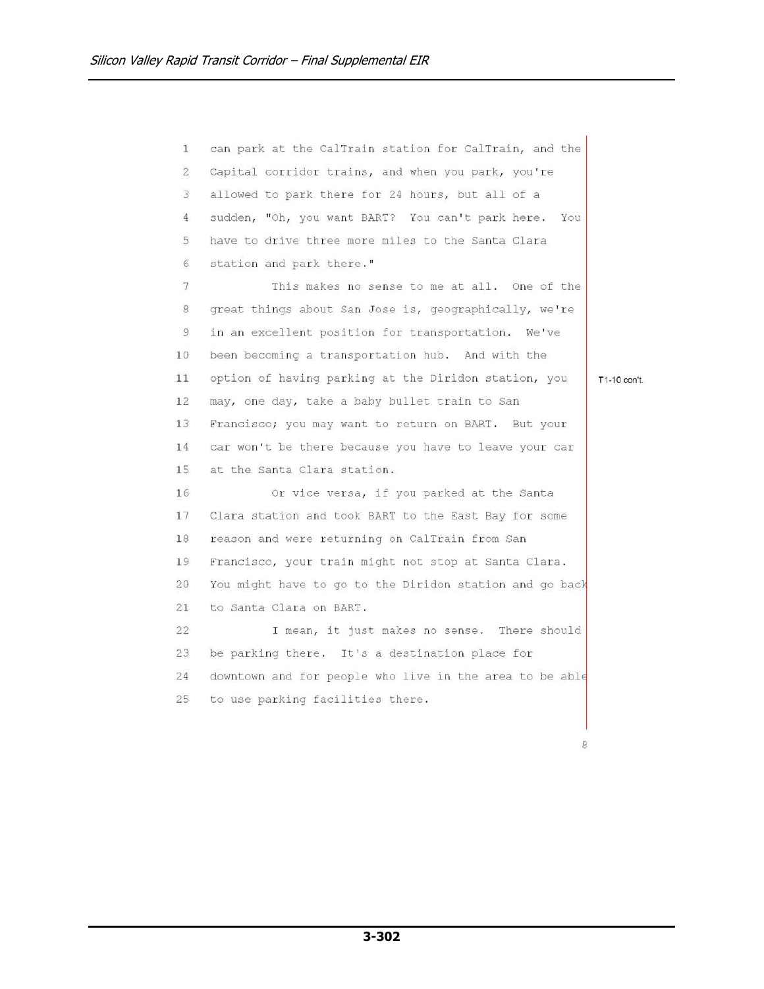can park at the CalTrain station for CalTrain, and the  $\mathbf{1}$  $\overline{2}$ Capital corridor trains, and when you park, you're 3 allowed to park there for 24 hours, but all of a sudden, "Oh, you want BART? You can't park here. You  $\overline{4}$ have to drive three more miles to the Santa Clara 5 station and park there."  $6$  $\overline{7}$ This makes no sense to me at all. One of the  $\,$  8 great things about San Jose is, geographically, we're  $\overline{9}$ in an excellent position for transportation. We've been becoming a transportation hub. And with the  $10$ option of having parking at the Diridon station, you  $11$ may, one day, take a baby bullet train to San 12 13 Francisco; you may want to return on BART. But your car won't be there because you have to leave your car 14 15 at the Santa Clara station. 16 Or vice versa, if you parked at the Santa 17 Clara station and took BART to the East Bay for some 18 reason and were returning on CalTrain from San 19 Francisco, your train might not stop at Santa Clara.  $20$ You might have to go to the Diridon station and go back to Santa Clara on BART.  $21$ 22 I mean, it just makes no sense. There should 23 be parking there. It's a destination place for 24 downtown and for people who live in the area to be able 25 to use parking facilities there.

T1-10 con't.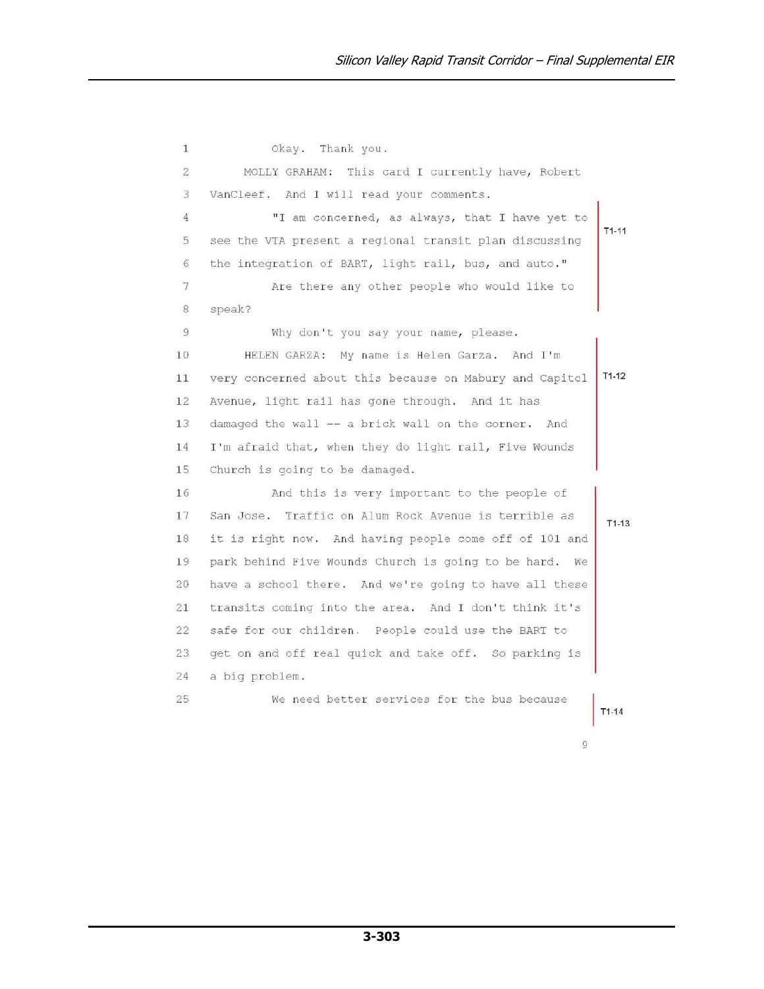$\mathbf{1}$ Okay. Thank you.  $\overline{2}$ MOLLY GRAHAM: This card I currently have, Robert 3 VanCleef. And I will read your comments. "I am concerned, as always, that I have yet to  $\overline{4}$  $T1-11$ see the VTA present a regional transit plan discussing 5 the integration of BART, light rail, bus, and auto."  $6$  $\overline{7}$ Are there any other people who would like to 8 speak? 9 Why don't you say your name, please.  $10$ HELEN GARZA: My name is Helen Garza. And I'm very concerned about this because on Mabury and Capitol  $T1-12$  $11$ 12 Avenue, light rail has gone through. And it has 13 damaged the wall -- a brick wall on the corner. And 14 I'm afraid that, when they do light rail, Five Wounds 15 Church is going to be damaged. 16 And this is very important to the people of 17 San Jose. Traffic on Alum Rock Avenue is terrible as  $T1-13$ it is right now. And having people come off of 101 and 18 19 park behind Five Wounds Church is going to be hard. We  $20$ have a school there. And we're going to have all these transits coming into the area. And I don't think it's 21  $22^{1}$ safe for our children. People could use the BART to 23 get on and off real quick and take off. So parking is 24 a big problem. 25 We need better services for the bus because  $T1-14$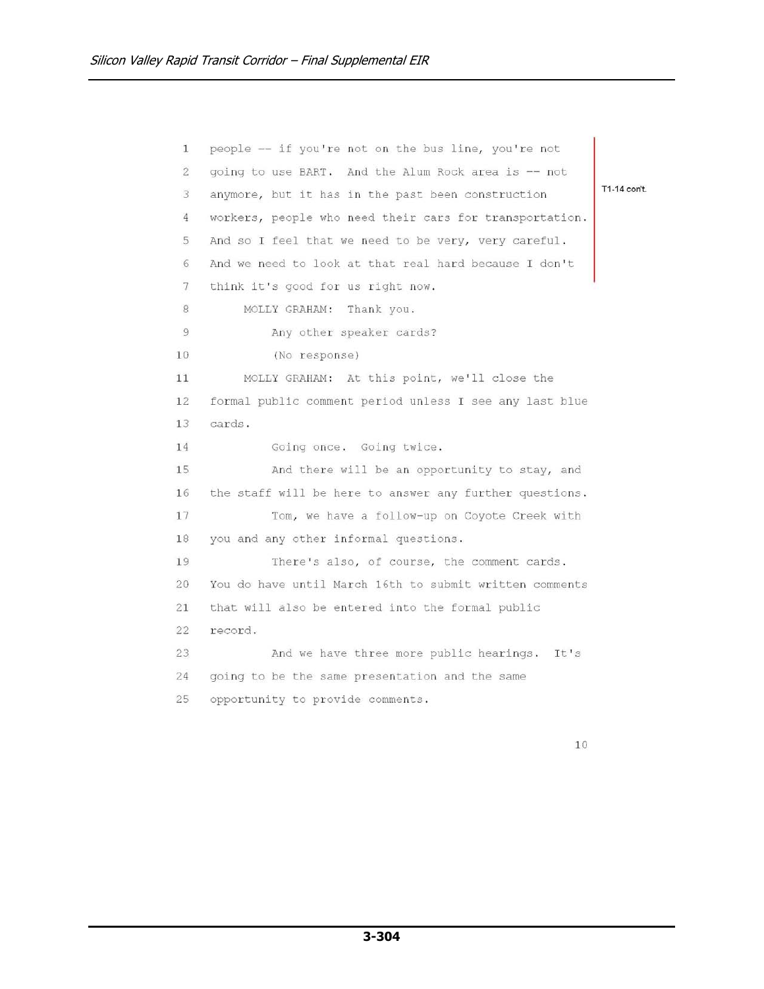people -- if you're not on the bus line, you're not  $\mathbf{1}$  $\overline{2}$ going to use BART. And the Alum Rock area is -- not T1-14 con't.  $\overline{3}$ anymore, but it has in the past been construction  $\overline{4}$ workers, people who need their cars for transportation. 5 And so I feel that we need to be very, very careful.  $6\phantom{.}6$ And we need to look at that real hard because I don't  $\overline{7}$ think it's good for us right now. 8 MOLLY GRAHAM: Thank you. 9 Any other speaker cards?  $10$ (No response) MOLLY GRAHAM: At this point, we'll close the  $11$ 12 formal public comment period unless I see any last blue 13 cards. 14 Going once. Going twice. 15 And there will be an opportunity to stay, and 16 the staff will be here to answer any further questions. 17 Tom, we have a follow-up on Coyote Creek with 18 you and any other informal questions. 19 There's also, of course, the comment cards.  $20$ You do have until March 16th to submit written comments  $21$ that will also be entered into the formal public  $22^{1}$ record. 23 And we have three more public hearings. It's 24 going to be the same presentation and the same 25 opportunity to provide comments.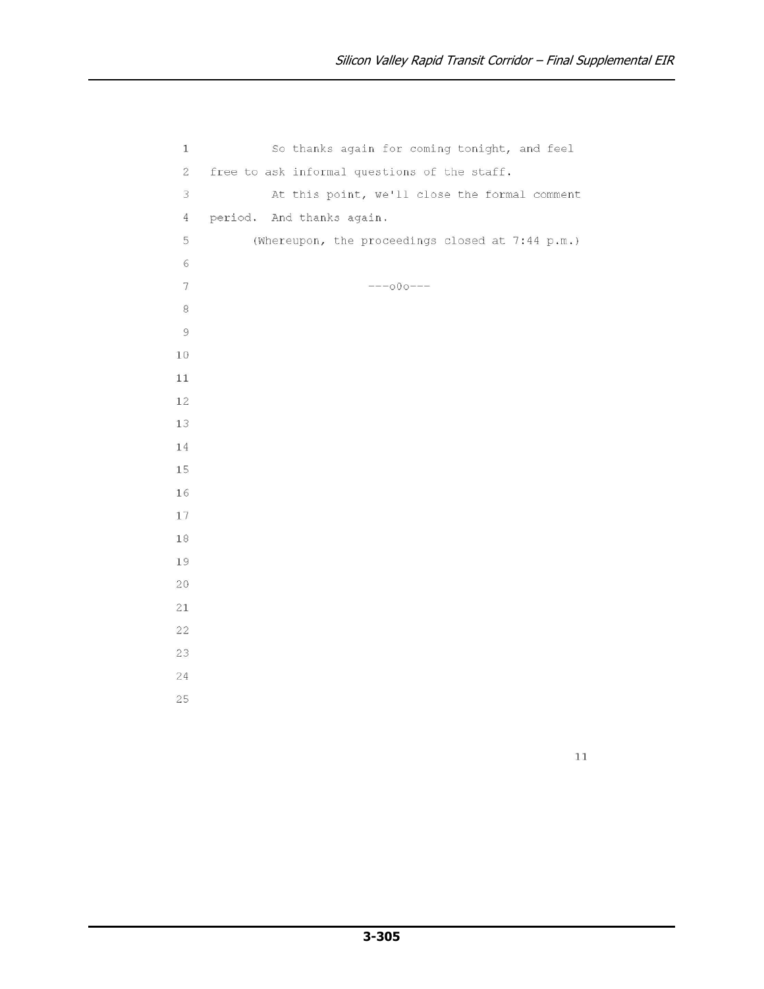```
So thanks again for coming tonight, and feel
 \mathbf{1}\overline{2}free to ask informal questions of the staff.
 \overline{3}At this point, we'll close the formal comment
      period. And thanks again.
 \overline{4}5
              (Whereupon, the proceedings closed at 7:44 p.m.)
 6
 \overline{7}---000---\,8\,\overline{9}10
11\,12
13
1\,415
16
17
18
19
20
21
22
23
24
25
```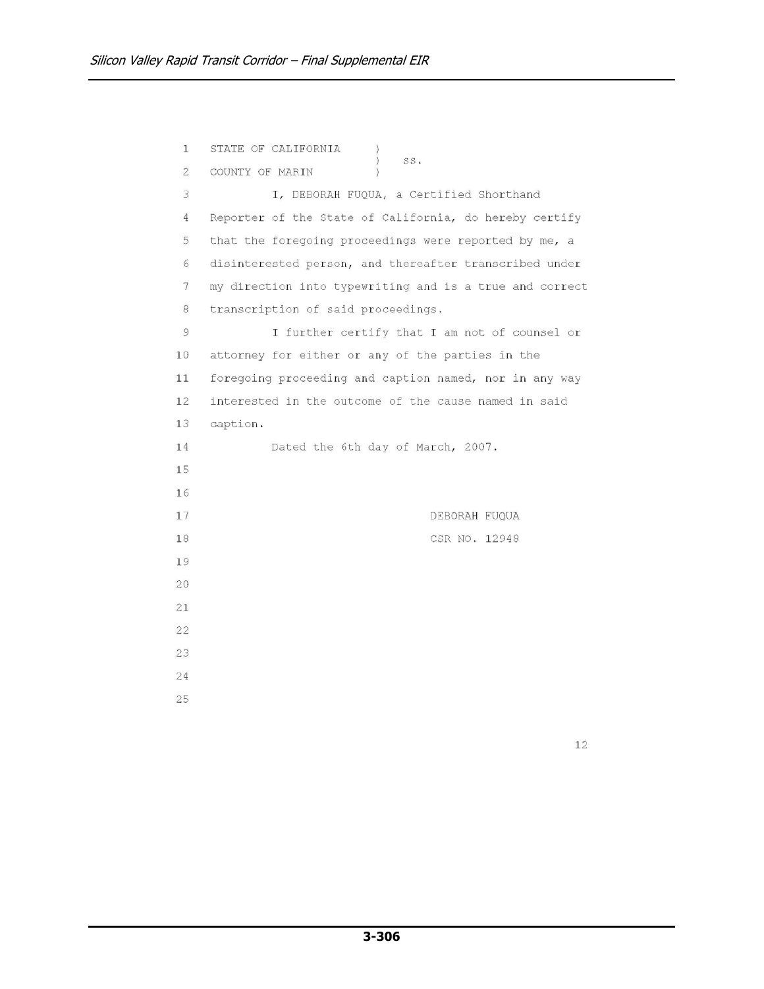| 1              | STATE OF CALIFORNIA                                     |
|----------------|---------------------------------------------------------|
| $\overline{2}$ | $\mathcal{C}$<br>SS.<br>COUNTY OF MARIN                 |
| 3              | I, DEBORAH FUQUA, a Certified Shorthand                 |
| 4              | Reporter of the State of California, do hereby certify  |
| 5              | that the foregoing proceedings were reported by me, a   |
| 6              | disinterested person, and thereafter transcribed under  |
| 7              | my direction into typewriting and is a true and correct |
| 8              | transcription of said proceedings.                      |
| 9              | I further certify that I am not of counsel or           |
| 10             | attorney for either or any of the parties in the        |
| 11             | foregoing proceeding and caption named, nor in any way  |
| 12             | interested in the outcome of the cause named in said    |
| 13             | caption.                                                |
| 14             | Dated the 6th day of March, 2007.                       |
| 15             |                                                         |
| 16             |                                                         |
| 17             | DEBORAH FUQUA                                           |
| 18             | CSR NO. 12948                                           |
| 19             |                                                         |
| 20             |                                                         |
| 21             |                                                         |
| 22             |                                                         |
| 23             |                                                         |
| 24             |                                                         |
| 25             |                                                         |
|                |                                                         |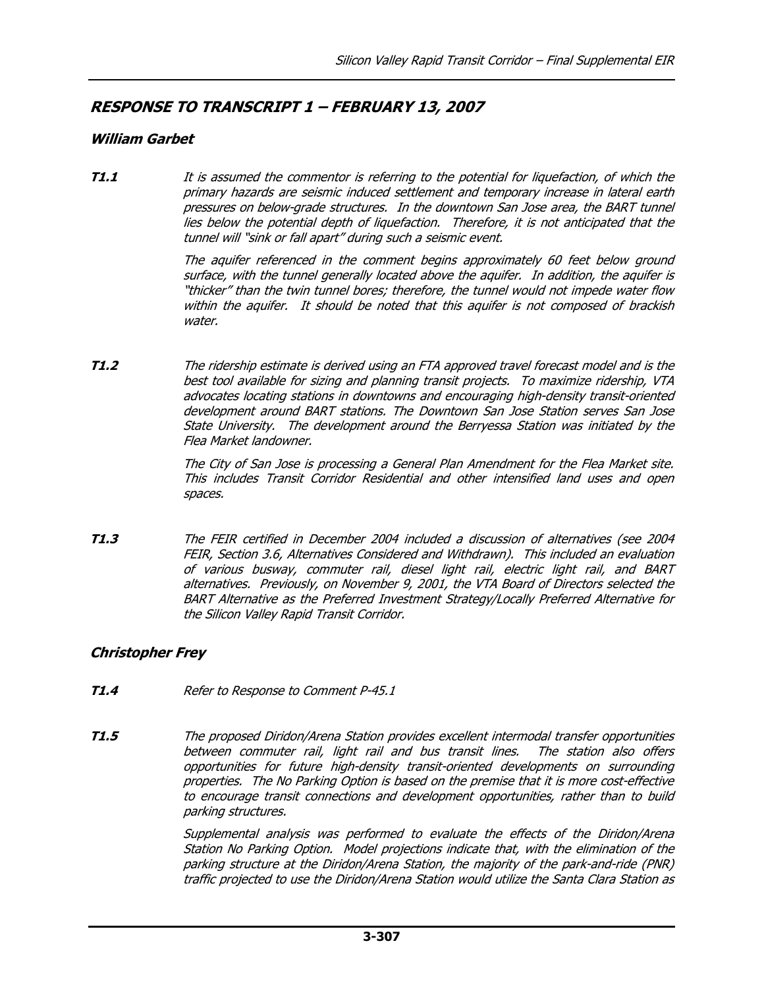# RESPONSE TO TRANSCRIPT 1 – FEBRUARY 13, 2007

## William Garbet

**T1.1** It is assumed the commentor is referring to the potential for liquefaction, of which the primary hazards are seismic induced settlement and temporary increase in lateral earth pressures on below-grade structures. In the downtown San Jose area, the BART tunnel lies below the potential depth of liquefaction. Therefore, it is not anticipated that the tunnel will "sink or fall apart" during such a seismic event.

> The aquifer referenced in the comment begins approximately 60 feet below ground surface, with the tunnel generally located above the aquifer. In addition, the aquifer is "thicker" than the twin tunnel bores; therefore, the tunnel would not impede water flow within the aquifer. It should be noted that this aquifer is not composed of brackish water.

**T1.2** The ridership estimate is derived using an FTA approved travel forecast model and is the best tool available for sizing and planning transit projects. To maximize ridership, VTA advocates locating stations in downtowns and encouraging high-density transit-oriented development around BART stations. The Downtown San Jose Station serves San Jose State University. The development around the Berryessa Station was initiated by the Flea Market landowner.

> The City of San Jose is processing a General Plan Amendment for the Flea Market site. This includes Transit Corridor Residential and other intensified land uses and open spaces.

T1.3 The FEIR certified in December 2004 included a discussion of alternatives (see 2004 FEIR, Section 3.6, Alternatives Considered and Withdrawn). This included an evaluation of various busway, commuter rail, diesel light rail, electric light rail, and BART alternatives. Previously, on November 9, 2001, the VTA Board of Directors selected the BART Alternative as the Preferred Investment Strategy/Locally Preferred Alternative for the Silicon Valley Rapid Transit Corridor.

# Christopher Frey

- **T1.4** Refer to Response to Comment P-45.1
- **T1.5** The proposed Diridon/Arena Station provides excellent intermodal transfer opportunities between commuter rail, light rail and bus transit lines. The station also offers opportunities for future high-density transit-oriented developments on surrounding properties. The No Parking Option is based on the premise that it is more cost-effective to encourage transit connections and development opportunities, rather than to build parking structures.

 Supplemental analysis was performed to evaluate the effects of the Diridon/Arena Station No Parking Option. Model projections indicate that, with the elimination of the parking structure at the Diridon/Arena Station, the majority of the park-and-ride (PNR) traffic projected to use the Diridon/Arena Station would utilize the Santa Clara Station as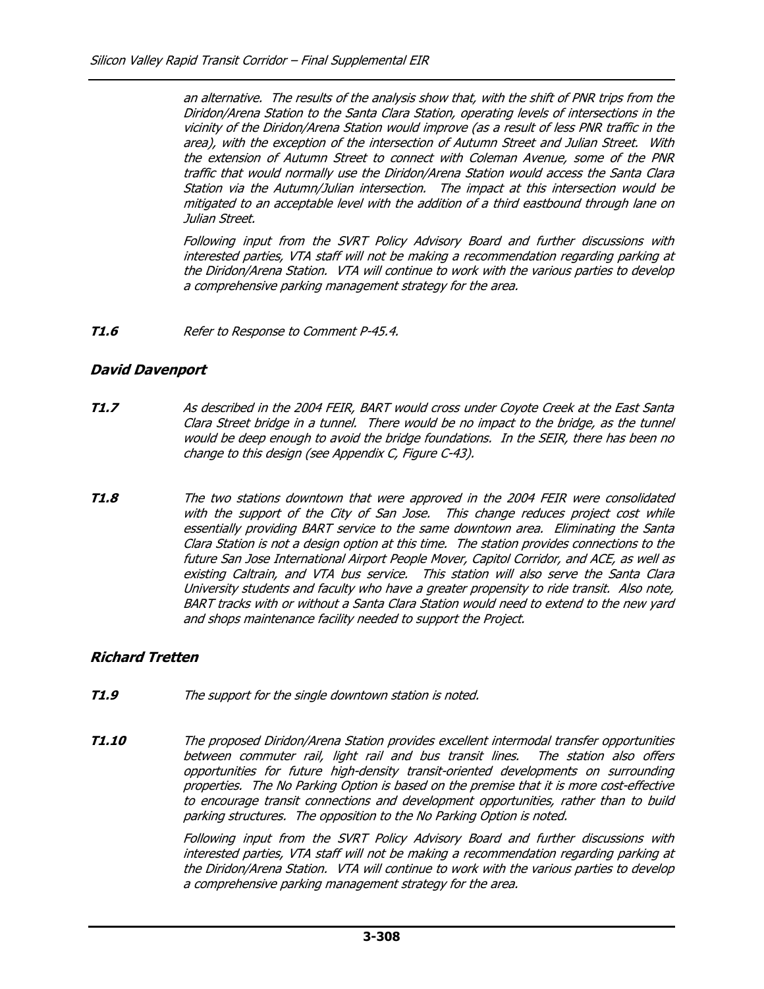an alternative. The results of the analysis show that, with the shift of PNR trips from the Diridon/Arena Station to the Santa Clara Station, operating levels of intersections in the vicinity of the Diridon/Arena Station would improve (as a result of less PNR traffic in the area), with the exception of the intersection of Autumn Street and Julian Street. With the extension of Autumn Street to connect with Coleman Avenue, some of the PNR traffic that would normally use the Diridon/Arena Station would access the Santa Clara Station via the Autumn/Julian intersection. The impact at this intersection would be mitigated to an acceptable level with the addition of a third eastbound through lane on Julian Street.

 Following input from the SVRT Policy Advisory Board and further discussions with interested parties, VTA staff will not be making a recommendation regarding parking at the Diridon/Arena Station. VTA will continue to work with the various parties to develop a comprehensive parking management strategy for the area.

T1.6 Refer to Response to Comment P-45.4.

#### David Davenport

- T1.7 As described in the 2004 FEIR, BART would cross under Coyote Creek at the East Santa Clara Street bridge in a tunnel. There would be no impact to the bridge, as the tunnel would be deep enough to avoid the bridge foundations. In the SEIR, there has been no change to this design (see Appendix C, Figure C-43).
- **T1.8** The two stations downtown that were approved in the 2004 FEIR were consolidated with the support of the City of San Jose. This change reduces project cost while essentially providing BART service to the same downtown area. Eliminating the Santa Clara Station is not a design option at this time. The station provides connections to the future San Jose International Airport People Mover, Capitol Corridor, and ACE, as well as existing Caltrain, and VTA bus service. This station will also serve the Santa Clara University students and faculty who have a greater propensity to ride transit. Also note, BART tracks with or without a Santa Clara Station would need to extend to the new yard and shops maintenance facility needed to support the Project.

#### Richard Tretten

- **T1.9** The support for the single downtown station is noted.
- **T1.10** The proposed Diridon/Arena Station provides excellent intermodal transfer opportunities between commuter rail, light rail and bus transit lines. The station also offers opportunities for future high-density transit-oriented developments on surrounding properties. The No Parking Option is based on the premise that it is more cost-effective to encourage transit connections and development opportunities, rather than to build parking structures. The opposition to the No Parking Option is noted.

Following input from the SVRT Policy Advisory Board and further discussions with interested parties, VTA staff will not be making a recommendation regarding parking at the Diridon/Arena Station. VTA will continue to work with the various parties to develop a comprehensive parking management strategy for the area.